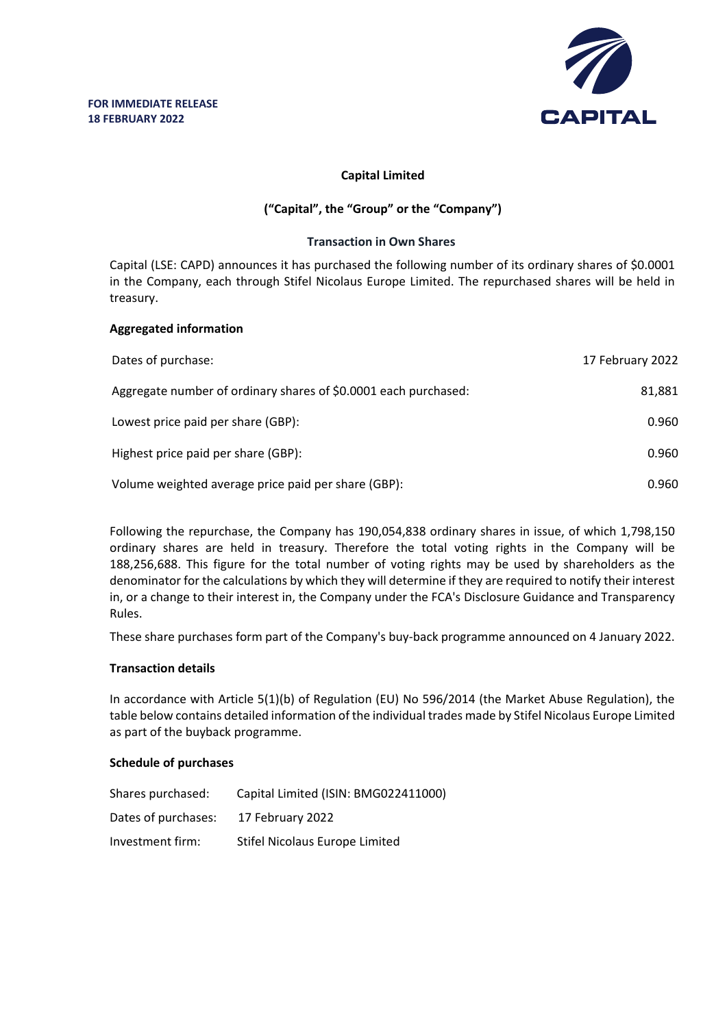

## **Capital Limited**

# **("Capital", the "Group" or the "Company")**

### **Transaction in Own Shares**

Capital (LSE: CAPD) announces it has purchased the following number of its ordinary shares of \$0.0001 in the Company, each through Stifel Nicolaus Europe Limited. The repurchased shares will be held in treasury.

#### **Aggregated information**

| Dates of purchase:                                              | 17 February 2022 |
|-----------------------------------------------------------------|------------------|
| Aggregate number of ordinary shares of \$0.0001 each purchased: | 81,881           |
| Lowest price paid per share (GBP):                              | 0.960            |
| Highest price paid per share (GBP):                             | 0.960            |
| Volume weighted average price paid per share (GBP):             | 0.960            |

Following the repurchase, the Company has 190,054,838 ordinary shares in issue, of which 1,798,150 ordinary shares are held in treasury. Therefore the total voting rights in the Company will be 188,256,688. This figure for the total number of voting rights may be used by shareholders as the denominator for the calculations by which they will determine if they are required to notify their interest in, or a change to their interest in, the Company under the FCA's Disclosure Guidance and Transparency Rules.

These share purchases form part of the Company's buy-back programme announced on 4 January 2022.

## **Transaction details**

In accordance with Article 5(1)(b) of Regulation (EU) No 596/2014 (the Market Abuse Regulation), the table below contains detailed information of the individual trades made by Stifel Nicolaus Europe Limited as part of the buyback programme.

## **Schedule of purchases**

| Shares purchased:   | Capital Limited (ISIN: BMG022411000) |
|---------------------|--------------------------------------|
| Dates of purchases: | 17 February 2022                     |
| Investment firm:    | Stifel Nicolaus Europe Limited       |